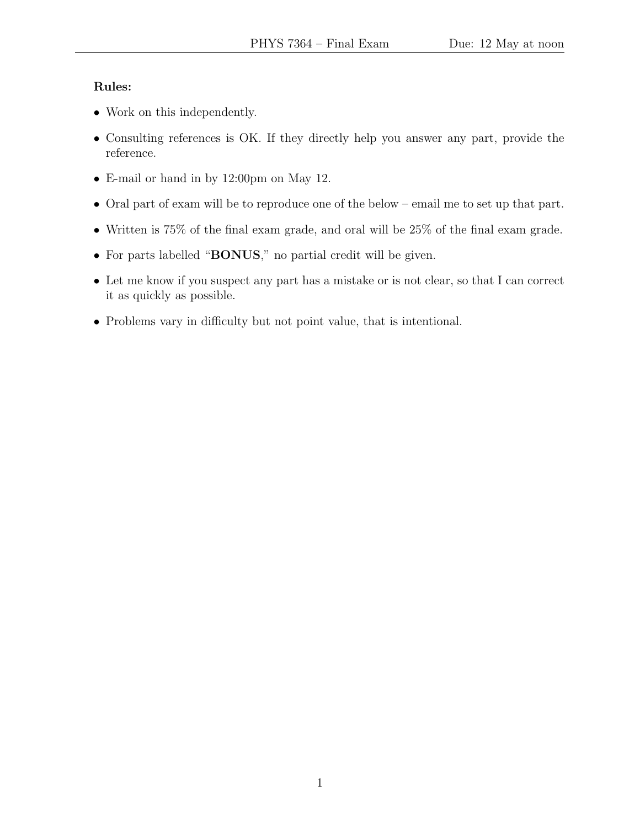### Rules:

- Work on this independently.
- Consulting references is OK. If they directly help you answer any part, provide the reference.
- E-mail or hand in by 12:00pm on May 12.
- Oral part of exam will be to reproduce one of the below email me to set up that part.
- Written is 75% of the final exam grade, and oral will be 25% of the final exam grade.
- For parts labelled "BONUS," no partial credit will be given.
- Let me know if you suspect any part has a mistake or is not clear, so that I can correct it as quickly as possible.
- Problems vary in difficulty but not point value, that is intentional.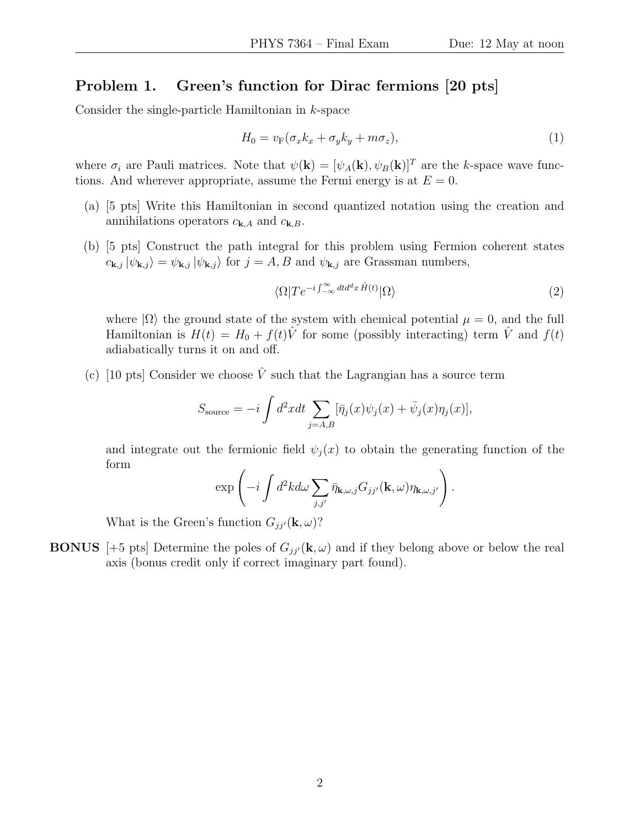### Problem 1. Green's function for Dirac fermions [20 pts]

Consider the single-particle Hamiltonian in k-space

$$
H_0 = v_F(\sigma_x k_x + \sigma_y k_y + m\sigma_z),\tag{1}
$$

where  $\sigma_i$  are Pauli matrices. Note that  $\psi(\mathbf{k}) = [\psi_A(\mathbf{k}), \psi_B(\mathbf{k})]^T$  are the k-space wave functions. And wherever appropriate, assume the Fermi energy is at  $E = 0$ .

- (a) [5 pts] Write this Hamiltonian in second quantized notation using the creation and annihilations operators  $c_{\mathbf{k},A}$  and  $c_{\mathbf{k},B}$ .
- (b) [5 pts] Construct the path integral for this problem using Fermion coherent states  $c_{\mathbf{k},j} |\psi_{\mathbf{k},j}\rangle = \psi_{\mathbf{k},j} |\psi_{\mathbf{k},j}\rangle$  for  $j = A, B$  and  $\psi_{\mathbf{k},j}$  are Grassman numbers,

$$
\langle \Omega | T e^{-i \int_{-\infty}^{\infty} dt d^d x \hat{H}(t)} | \Omega \rangle \tag{2}
$$

where  $|\Omega\rangle$  the ground state of the system with chemical potential  $\mu = 0$ , and the full Hamiltonian is  $H(t) = H_0 + f(t)\hat{V}$  for some (possibly interacting) term  $\hat{V}$  and  $f(t)$ adiabatically turns it on and off.

(c) [10 pts] Consider we choose  $\hat{V}$  such that the Lagrangian has a source term

$$
S_{\text{source}} = -i \int d^2x dt \sum_{j=A,B} [\bar{\eta}_j(x)\psi_j(x) + \bar{\psi}_j(x)\eta_j(x)],
$$

and integrate out the fermionic field  $\psi_i(x)$  to obtain the generating function of the form

$$
\exp\left(-i\int d^2k d\omega \sum_{j,j'} \bar{\eta}_{\mathbf{k},\omega,j} G_{jj'}(\mathbf{k},\omega)\eta_{\mathbf{k},\omega,j'}\right).
$$

What is the Green's function  $G_{ji'}(\mathbf{k}, \omega)$ ?

**BONUS** [+5 pts] Determine the poles of  $G_{jj'}(\mathbf{k}, \omega)$  and if they belong above or below the real axis (bonus credit only if correct imaginary part found).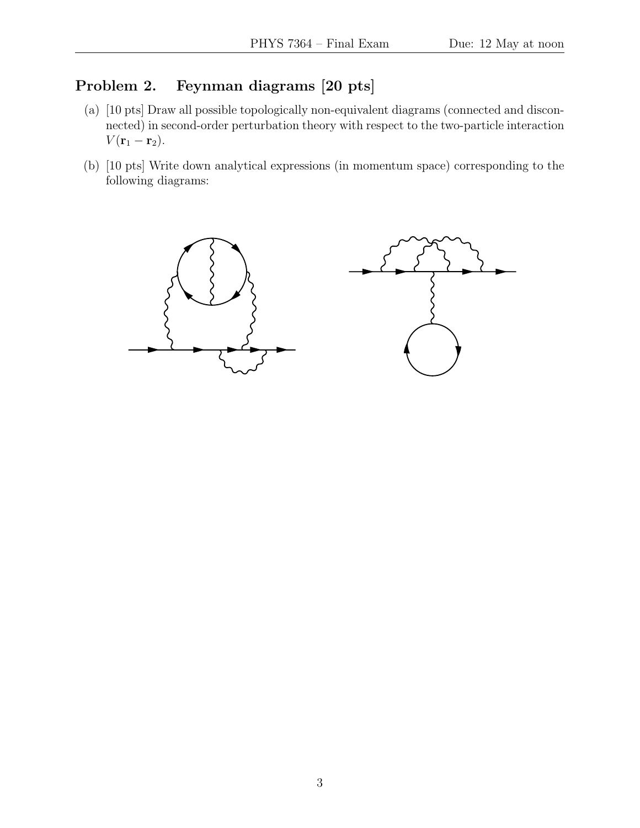## Problem 2. Feynman diagrams [20 pts]

- (a) [10 pts] Draw all possible topologically non-equivalent diagrams (connected and disconnected) in second-order perturbation theory with respect to the two-particle interaction  $V(\mathbf{r}_1-\mathbf{r}_2).$
- (b) [10 pts] Write down analytical expressions (in momentum space) corresponding to the following diagrams:

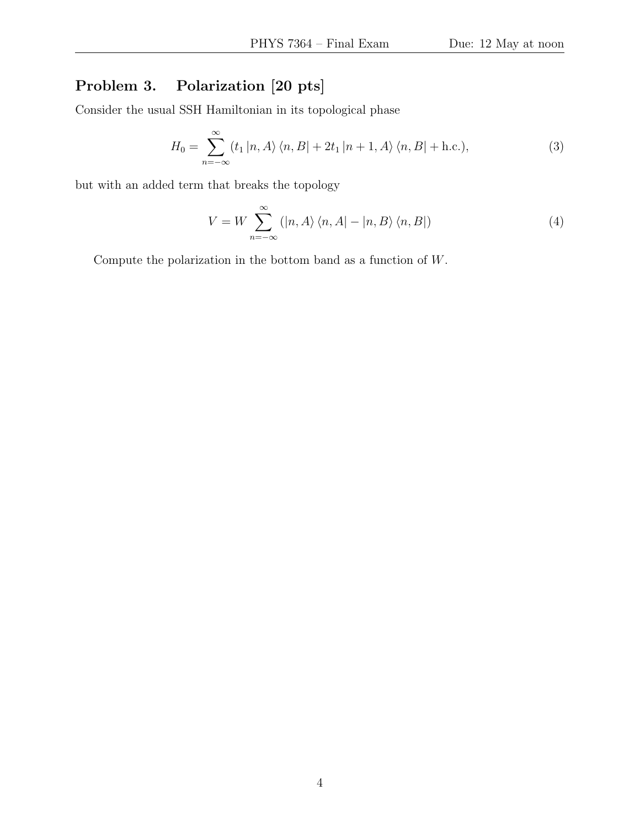# Problem 3. Polarization [20 pts]

Consider the usual SSH Hamiltonian in its topological phase

$$
H_0 = \sum_{n=-\infty}^{\infty} \langle t_1 | n, A \rangle \langle n, B | + 2t_1 | n+1, A \rangle \langle n, B | + \text{h.c.} \rangle, \tag{3}
$$

but with an added term that breaks the topology

$$
V = W \sum_{n = -\infty}^{\infty} (|n, A\rangle \langle n, A| - |n, B\rangle \langle n, B|)
$$
 (4)

Compute the polarization in the bottom band as a function of W.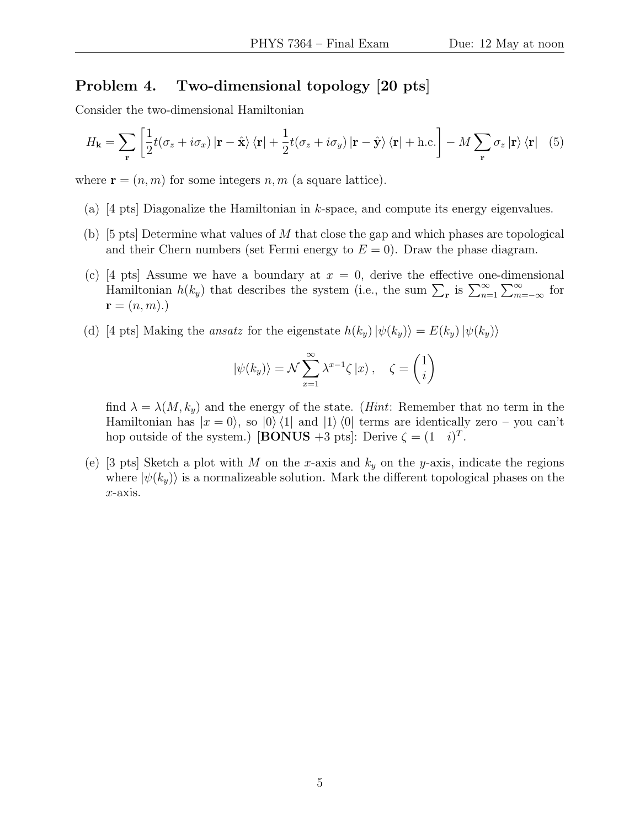### Problem 4. Two-dimensional topology [20 pts]

Consider the two-dimensional Hamiltonian

$$
H_{\mathbf{k}} = \sum_{\mathbf{r}} \left[ \frac{1}{2} t (\sigma_z + i \sigma_x) \left| \mathbf{r} - \hat{\mathbf{x}} \right\rangle \langle \mathbf{r} \right| + \frac{1}{2} t (\sigma_z + i \sigma_y) \left| \mathbf{r} - \hat{\mathbf{y}} \right\rangle \langle \mathbf{r} \right| + \text{h.c.} \right] - M \sum_{\mathbf{r}} \sigma_z \left| \mathbf{r} \right\rangle \langle \mathbf{r} \right| \tag{5}
$$

where  $\mathbf{r} = (n, m)$  for some integers n, m (a square lattice).

- (a)  $[4 \text{ pts}]$  Diagonalize the Hamiltonian in k-space, and compute its energy eigenvalues.
- (b) [5 pts] Determine what values of M that close the gap and which phases are topological and their Chern numbers (set Fermi energy to  $E = 0$ ). Draw the phase diagram.
- (c) [4 pts] Assume we have a boundary at  $x = 0$ , derive the effective one-dimensional Hamiltonian  $h(k_y)$  that describes the system (i.e., the sum  $\sum_{\mathbf{r}}$  is  $\sum_{n=1}^{\infty} \sum_{m=-\infty}^{\infty}$  for  $\mathbf{r} = (n, m)$ .)
- (d) [4 pts] Making the *ansatz* for the eigenstate  $h(k_y)|\psi(k_y)\rangle = E(k_y)|\psi(k_y)\rangle$

$$
|\psi(k_y)\rangle = \mathcal{N} \sum_{x=1}^{\infty} \lambda^{x-1} \zeta |x\rangle, \quad \zeta = \begin{pmatrix} 1 \\ i \end{pmatrix}
$$

find  $\lambda = \lambda(M, k_y)$  and the energy of the state. (*Hint*: Remember that no term in the Hamiltonian has  $|x = 0\rangle$ , so  $|0\rangle\langle 1|$  and  $|1\rangle\langle 0|$  terms are identically zero – you can't hop outside of the system.) [BONUS +3 pts]: Derive  $\zeta = (1 \quad i)^T$ .

(e) [3 pts] Sketch a plot with M on the x-axis and  $k_y$  on the y-axis, indicate the regions where  $|\psi(k_y)\rangle$  is a normalizeable solution. Mark the different topological phases on the x-axis.